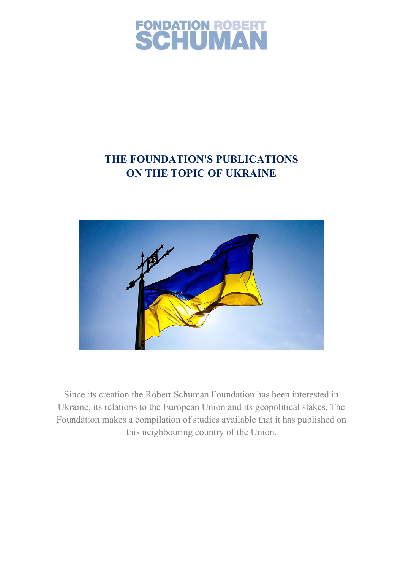

# **THE FOUNDATION'S PUBLICATIONS ON THE TOPIC OF UKRAINE**



Since its creation the Robert Schuman Foundation has been interested in Ukraine, its relations to the European Union and its geopolitical stakes. The Foundation makes a compilation of studies available that it has published on this neighbouring country of the Union.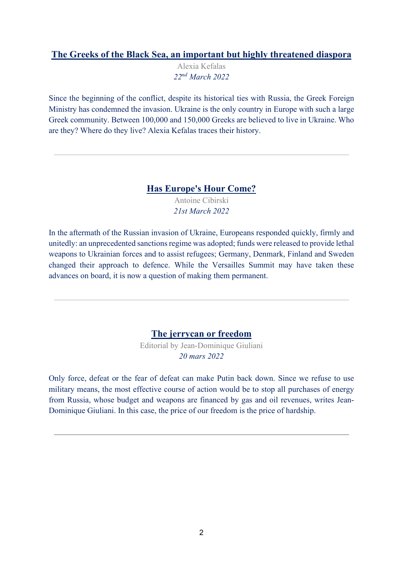#### **[The Greeks of the Black Sea, an important but highly threatened diaspora](https://www.robert-schuman.eu/en/doc/divers/greeks-ukraine-kefalas-en.pdf)**

Alexia Kefalas *22nd March 2022* 

Since the beginning of the conflict, despite its historical ties with Russia, the Greek Foreign Ministry has condemned the invasion. Ukraine is the only country in Europe with such a large Greek community. Between 100,000 and 150,000 Greeks are believed to live in Ukraine. Who are they? Where do they live? Alexia Kefalas traces their history.

### **[Has Europe's Hour Come?](https://www.robert-schuman.eu/en/doc/questions-d-europe/qe-625-en.pdf)**

Antoine Cibirski *21st March 2022* 

In the aftermath of the Russian invasion of Ukraine, Europeans responded quickly, firmly and unitedly: an unprecedented sanctions regime was adopted; funds were released to provide lethal weapons to Ukrainian forces and to assist refugees; Germany, Denmark, Finland and Sweden changed their approach to defence. While the Versailles Summit may have taken these advances on board, it is now a question of making them permanent.

### **[The jerrycan or freedom](https://www.jd-giuliani.eu/en/article/cat-2/886_The-jerrycan-or-freedom.html)**

Editorial by Jean-Dominique Giuliani *20 mars 2022* 

Only force, defeat or the fear of defeat can make Putin back down. Since we refuse to use military means, the most effective course of action would be to stop all purchases of energy from Russia, whose budget and weapons are financed by gas and oil revenues, writes Jean-Dominique Giuliani. In this case, the price of our freedom is the price of hardship.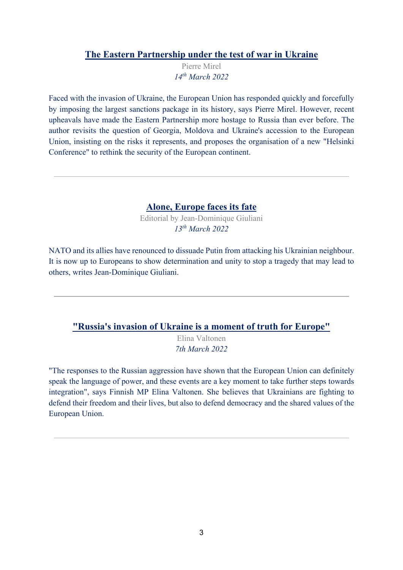#### **[The Eastern Partnership under the test of war in Ukraine](https://www.robert-schuman.eu/en/doc/questions-d-europe/qe-624-en.pdf)**

Pierre Mirel *14th March 2022* 

Faced with the invasion of Ukraine, the European Union has responded quickly and forcefully by imposing the largest sanctions package in its history, says Pierre Mirel. However, recent upheavals have made the Eastern Partnership more hostage to Russia than ever before. The author revisits the question of Georgia, Moldova and Ukraine's accession to the European Union, insisting on the risks it represents, and proposes the organisation of a new "Helsinki Conference" to rethink the security of the European continent.

#### **[Alone, Europe faces its fate](https://www.jd-giuliani.eu/en/article/cat-2/884_Europe-faces-its-fate-alone.html)**

Editorial by Jean-Dominique Giuliani *13th March 2022* 

NATO and its allies have renounced to dissuade Putin from attacking his Ukrainian neighbour. It is now up to Europeans to show determination and unity to stop a tragedy that may lead to others, writes Jean-Dominique Giuliani.

#### **["Russia's invasion of Ukraine is a moment of truth for Europe"](https://www.robert-schuman.eu/en/doc/entretiens-d-europe/ee-113-en.pdf)**

Elina Valtonen *7th March 2022* 

"The responses to the Russian aggression have shown that the European Union can definitely speak the language of power, and these events are a key moment to take further steps towards integration", says Finnish MP Elina Valtonen. She believes that Ukrainians are fighting to defend their freedom and their lives, but also to defend democracy and the shared values of the European Union.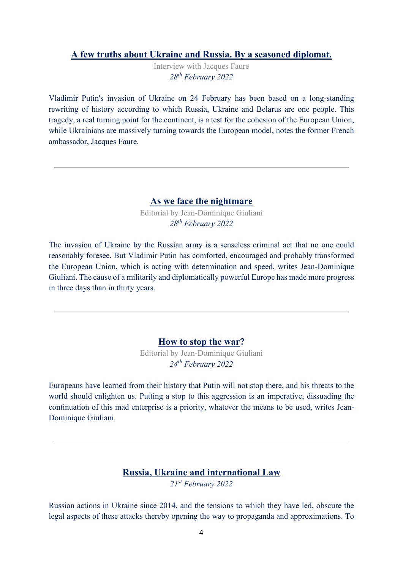#### **[A few truths about Ukraine and Russia. By a seasoned diplomat.](https://www.robert-schuman.eu/en/doc/entretiens-d-europe/ee-112-en.pdf)**

Interview with Jacques Faure *28th February 2022* 

Vladimir Putin's invasion of Ukraine on 24 February has been based on a long-standing rewriting of history according to which Russia, Ukraine and Belarus are one people. This tragedy, a real turning point for the continent, is a test for the cohesion of the European Union, while Ukrainians are massively turning towards the European model, notes the former French ambassador, Jacques Faure.

#### **[As we face the nightmare](https://www.jd-giuliani.eu/en/article/cat-2/871_As-we-face-the-nightmare.html)**

Editorial by Jean-Dominique Giuliani *28th February 2022* 

The invasion of Ukraine by the Russian army is a senseless criminal act that no one could reasonably foresee. But Vladimir Putin has comforted, encouraged and probably transformed the European Union, which is acting with determination and speed, writes Jean-Dominique Giuliani. The cause of a militarily and diplomatically powerful Europe has made more progress in three days than in thirty years.

#### **[How to stop the war?](https://www.jd-giuliani.eu/en/article/cat-2/857_How-to-stop-the-war.html)**

Editorial by Jean-Dominique Giuliani *24th February 2022* 

Europeans have learned from their history that Putin will not stop there, and his threats to the world should enlighten us. Putting a stop to this aggression is an imperative, dissuading the continuation of this mad enterprise is a priority, whatever the means to be used, writes Jean-Dominique Giuliani.

# **[Russia, Ukraine and international Law](https://www.robert-schuman.eu/en/european-issues/0623-russia-ukraine-and-international-law)**

*21st February 2022* 

Russian actions in Ukraine since 2014, and the tensions to which they have led, obscure the legal aspects of these attacks thereby opening the way to propaganda and approximations. To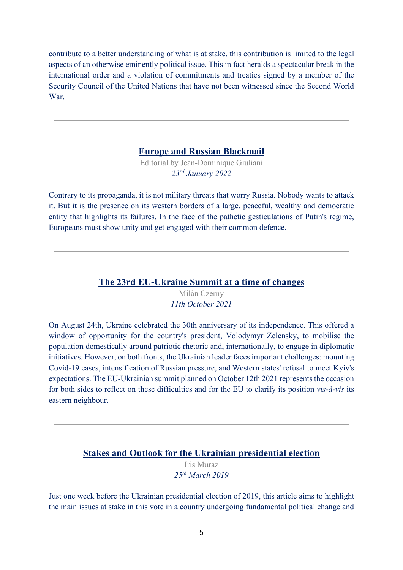contribute to a better understanding of what is at stake, this contribution is limited to the legal aspects of an otherwise eminently political issue. This in fact heralds a spectacular break in the international order and a violation of commitments and treaties signed by a member of the Security Council of the United Nations that have not been witnessed since the Second World War.

#### **[Europe and Russian Blackmail](https://www.jd-giuliani.eu/en/article/cat-2/847_-Europe-and-Russian-Blackmail.html)**

Editorial by Jean-Dominique Giuliani *23rd January 2022* 

Contrary to its propaganda, it is not military threats that worry Russia. Nobody wants to attack it. But it is the presence on its western borders of a large, peaceful, wealthy and democratic entity that highlights its failures. In the face of the pathetic gesticulations of Putin's regime, Europeans must show unity and get engaged with their common defence.

#### **[The 23rd EU-Ukraine Summit at a time of changes](https://www.robert-schuman.eu/en/european-issues/0610-the-23rd-eu-ukraine-summit-in-a-time-of-change)**

Milàn Czerny *11th October 2021* 

On August 24th, Ukraine celebrated the 30th anniversary of its independence. This offered a window of opportunity for the country's president, Volodymyr Zelensky, to mobilise the population domestically around patriotic rhetoric and, internationally, to engage in diplomatic initiatives. However, on both fronts, the Ukrainian leader faces important challenges: mounting Covid-19 cases, intensification of Russian pressure, and Western states' refusal to meet Kyiv's expectations. The EU-Ukrainian summit planned on October 12th 2021 represents the occasion for both sides to reflect on these difficulties and for the EU to clarify its position *vis-à-vis* its eastern neighbour.

#### **[Stakes and Outlook for the Ukrainian presidential election](https://www.robert-schuman.eu/en/european-issues/0508-stakes-and-outlook-for-the-ukrainian-presidential-election)**

Iris Muraz *25th March 2019* 

Just one week before the Ukrainian presidential election of 2019, this article aims to highlight the main issues at stake in this vote in a country undergoing fundamental political change and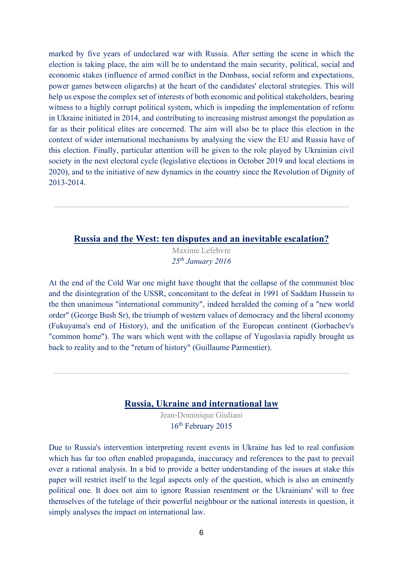marked by five years of undeclared war with Russia. After setting the scene in which the election is taking place, the aim will be to understand the main security, political, social and economic stakes (influence of armed conflict in the Donbass, social reform and expectations, power games between oligarchs) at the heart of the candidates' electoral strategies. This will help us expose the complex set of interests of both economic and political stakeholders, bearing witness to a highly corrupt political system, which is impeding the implementation of reform in Ukraine initiated in 2014, and contributing to increasing mistrust amongst the population as far as their political elites are concerned. The aim will also be to place this election in the context of wider international mechanisms by analysing the view the EU and Russia have of this election. Finally, particular attention will be given to the role played by Ukrainian civil society in the next electoral cycle (legislative elections in October 2019 and local elections in 2020), and to the initiative of new dynamics in the country since the Revolution of Dignity of 2013-2014.

#### **[Russia and the West: ten disputes and an inevitable escalation?](https://www.robert-schuman.eu/en/european-issues/0379-russia-and-the-west-ten-disputes-and-an-inevitable-escalation)**

Maxime Lefebvre *25th January 2016* 

At the end of the Cold War one might have thought that the collapse of the communist bloc and the disintegration of the USSR, concomitant to the defeat in 1991 of Saddam Hussein to the then unanimous "international community", indeed heralded the coming of a "new world order" (George Bush Sr), the triumph of western values of democracy and the liberal economy (Fukuyama's end of History), and the unification of the European continent (Gorbachev's "common home"). The wars which went with the collapse of Yugoslavia rapidly brought us back to reality and to the "return of history" (Guillaume Parmentier).

#### **[Russia, Ukraine and international law](https://www.robert-schuman.eu/en/european-issues/0344-russia-ukraine-and-international-law)**

Jean-Dominique Giuliani 16<sup>th</sup> February 2015

Due to Russia's intervention interpreting recent events in Ukraine has led to real confusion which has far too often enabled propaganda, inaccuracy and references to the past to prevail over a rational analysis. In a bid to provide a better understanding of the issues at stake this paper will restrict itself to the legal aspects only of the question, which is also an eminently political one. It does not aim to ignore Russian resentment or the Ukrainians' will to free themselves of the tutelage of their powerful neighbour or the national interests in question, it simply analyses the impact on international law.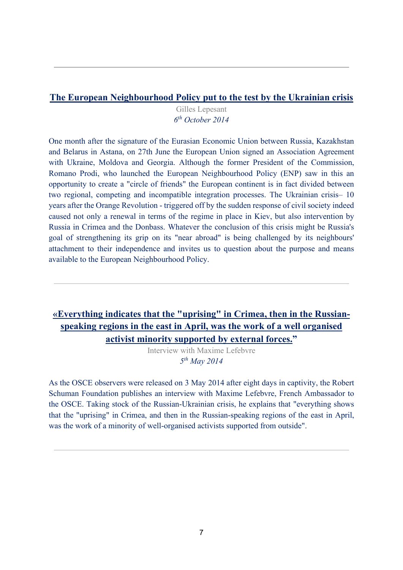### **[The European Neighbourhood Policy put to the test by the Ukrainian crisis](https://www.robert-schuman.eu/en/european-issues/0327-the-european-neighbourhood-policy-put-to-the-test-by-the-ukrainian-crisis)**

Gilles Lepesant *6th October 2014* 

One month after the signature of the Eurasian Economic Union between Russia, Kazakhstan and Belarus in Astana, on 27th June the European Union signed an Association Agreement with Ukraine, Moldova and Georgia. Although the former President of the Commission, Romano Prodi, who launched the European Neighbourhood Policy (ENP) saw in this an opportunity to create a "circle of friends" the European continent is in fact divided between two regional, competing and incompatible integration processes. The Ukrainian crisis– 10 years after the Orange Revolution - triggered off by the sudden response of civil society indeed caused not only a renewal in terms of the regime in place in Kiev, but also intervention by Russia in Crimea and the Donbass. Whatever the conclusion of this crisis might be Russia's goal of strengthening its grip on its "near abroad" is being challenged by its neighbours' attachment to their independence and invites us to question about the purpose and means available to the European Neighbourhood Policy.

# **[«Everything indicates that the "uprising" in Crimea, then in the Russian](https://www.robert-schuman.eu/en/european-interviews/0081-european-interview-with-maxime-lefebvre)[speaking regions in the east in April, was the work of a well organised](https://www.robert-schuman.eu/en/european-interviews/0081-european-interview-with-maxime-lefebvre)  [activist minority supported by external forces."](https://www.robert-schuman.eu/en/european-interviews/0081-european-interview-with-maxime-lefebvre)**

Interview with Maxime Lefebvre *5th May 2014* 

As the OSCE observers were released on 3 May 2014 after eight days in captivity, the Robert Schuman Foundation publishes an interview with Maxime Lefebvre, French Ambassador to the OSCE. Taking stock of the Russian-Ukrainian crisis, he explains that "everything shows that the "uprising" in Crimea, and then in the Russian-speaking regions of the east in April, was the work of a minority of well-organised activists supported from outside".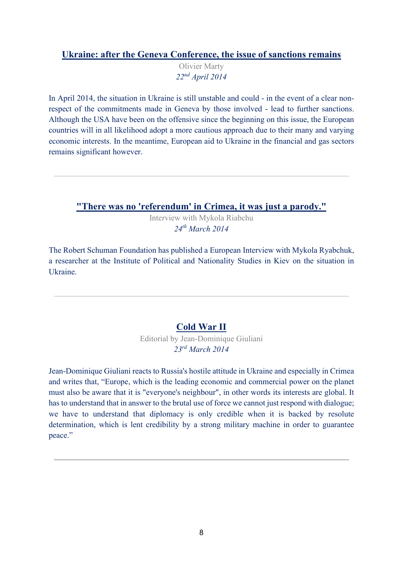# **[Ukraine: after the Geneva Conference, the issue of sanctions remains](https://www.robert-schuman.eu/en/european-issues/0310-ukraine-after-the-geneva-conference-the-issue-of-sanctions-remains)**

Olivier Marty *22nd April 2014* 

In April 2014, the situation in Ukraine is still unstable and could - in the event of a clear nonrespect of the commitments made in Geneva by those involved - lead to further sanctions. Although the USA have been on the offensive since the beginning on this issue, the European countries will in all likelihood adopt a more cautious approach due to their many and varying economic interests. In the meantime, European aid to Ukraine in the financial and gas sectors remains significant however.

**["There was no 'referendum' in Crimea, it was just a parody."](https://www.robert-schuman.eu/en/european-interviews/0080-there-was-no-referendum-in-crimea-it-was-just-a-parody)**

Interview with Mykola Riabchu *24th March 2014* 

The Robert Schuman Foundation has published a European Interview with Mykola Ryabchuk, a researcher at the Institute of Political and Nationality Studies in Kiev on the situation in Ukraine.

# **[Cold War II](https://www.jd-giuliani.eu/en/article/cat-2/371_Cold-War-II.html)**

Editorial by Jean-Dominique Giuliani *23rd March 2014* 

Jean-Dominique Giuliani reacts to Russia's hostile attitude in Ukraine and especially in Crimea and writes that, "Europe, which is the leading economic and commercial power on the planet must also be aware that it is "everyone's neighbour", in other words its interests are global. It has to understand that in answer to the brutal use of force we cannot just respond with dialogue; we have to understand that diplomacy is only credible when it is backed by resolute determination, which is lent credibility by a strong military machine in order to guarantee peace."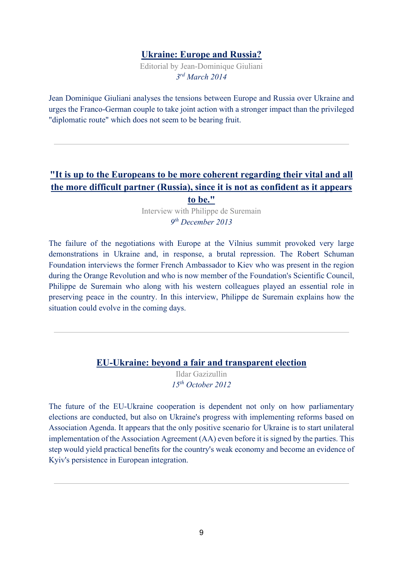#### **[Ukraine: Europe and Russia?](https://www.jd-giuliani.eu/en/article/cat-2/369_Ukraine-Europe-and-Russia.html)**

Editorial by Jean-Dominique Giuliani *3rd March 2014* 

Jean Dominique Giuliani analyses the tensions between Europe and Russia over Ukraine and urges the Franco-German couple to take joint action with a stronger impact than the privileged "diplomatic route" which does not seem to be bearing fruit.

# **["It is up to the Europeans to be more coherent regarding their vital and all](https://www.robert-schuman.eu/en/european-interviews/0078-european-interview-with-philippe-de-suremain)  [the more difficult partner \(Russia\), since it is not as confident as it appears](https://www.robert-schuman.eu/en/european-interviews/0078-european-interview-with-philippe-de-suremain)  [to be."](https://www.robert-schuman.eu/en/european-interviews/0078-european-interview-with-philippe-de-suremain)**

Interview with Philippe de Suremain *9th December 2013*

The failure of the negotiations with Europe at the Vilnius summit provoked very large demonstrations in Ukraine and, in response, a brutal repression. The Robert Schuman Foundation interviews the former French Ambassador to Kiev who was present in the region during the Orange Revolution and who is now member of the Foundation's Scientific Council, Philippe de Suremain who along with his western colleagues played an essential role in preserving peace in the country. In this interview, Philippe de Suremain explains how the situation could evolve in the coming days.

#### **[EU-Ukraine: beyond a fair and transparent election](https://www.robert-schuman.eu/en/european-issues/0255-eu-ukraine-beyond-a-fair-and-transparent-election)**

Ildar Gazizullin *15th October 2012* 

The future of the EU-Ukraine cooperation is dependent not only on how parliamentary elections are conducted, but also on Ukraine's progress with implementing reforms based on Association Agenda. It appears that the only positive scenario for Ukraine is to start unilateral implementation of the Association Agreement (AA) even before it is signed by the parties. This step would yield practical benefits for the country's weak economy and become an evidence of Kyiv's persistence in European integration.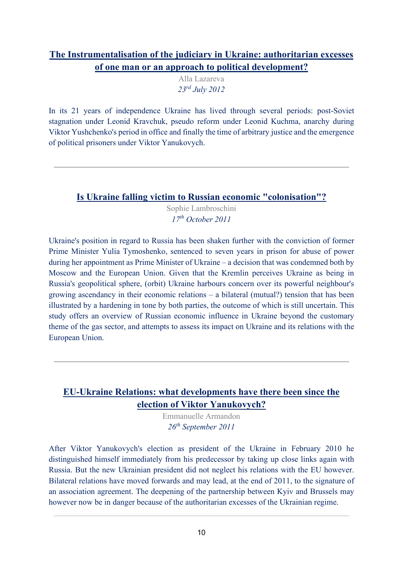# **[The Instrumentalisation of the judiciary in Ukraine: authoritarian excesses](https://www.robert-schuman.eu/en/european-issues/0249-the-instrumentalisation-of-the-judiciary-in-ukraine-authoritarian-excesses-of-one-man-or-an)  [of one man or an approach to political development?](https://www.robert-schuman.eu/en/european-issues/0249-the-instrumentalisation-of-the-judiciary-in-ukraine-authoritarian-excesses-of-one-man-or-an)**

Alla Lazareva *23rd July 2012* 

In its 21 years of independence Ukraine has lived through several periods: post-Soviet stagnation under Leonid Kravchuk, pseudo reform under Leonid Kuchma, anarchy during Viktor Yushchenko's period in office and finally the time of arbitrary justice and the emergence of political prisoners under Viktor Yanukovych.

# **[Is Ukraine falling victim to Russian economic "colonisation"?](https://www.robert-schuman.eu/en/european-issues/0217-is-ukraine-falling-victim-to-russian-economic-colonisation)**

Sophie Lambroschini *17th October 2011* 

Ukraine's position in regard to Russia has been shaken further with the conviction of former Prime Minister Yulia Tymoshenko, sentenced to seven years in prison for abuse of power during her appointment as Prime Minister of Ukraine – a decision that was condemned both by Moscow and the European Union. Given that the Kremlin perceives Ukraine as being in Russia's geopolitical sphere, (orbit) Ukraine harbours concern over its powerful neighbour's growing ascendancy in their economic relations – a bilateral (mutual?) tension that has been illustrated by a hardening in tone by both parties, the outcome of which is still uncertain. This study offers an overview of Russian economic influence in Ukraine beyond the customary theme of the gas sector, and attempts to assess its impact on Ukraine and its relations with the European Union.

# **[EU-Ukraine Relations: what developments have there been since the](https://www.robert-schuman.eu/en/european-issues/0214-eu-ukraine-relations-what-developments-have-there-been-since-the-election-of-viktor-yanukovych)  [election of Viktor Yanukovych?](https://www.robert-schuman.eu/en/european-issues/0214-eu-ukraine-relations-what-developments-have-there-been-since-the-election-of-viktor-yanukovych)**

Emmanuelle Armandon *26th September 2011* 

After Viktor Yanukovych's election as president of the Ukraine in February 2010 he distinguished himself immediately from his predecessor by taking up close links again with Russia. But the new Ukrainian president did not neglect his relations with the EU however. Bilateral relations have moved forwards and may lead, at the end of 2011, to the signature of an association agreement. The deepening of the partnership between Kyiv and Brussels may however now be in danger because of the authoritarian excesses of the Ukrainian regime.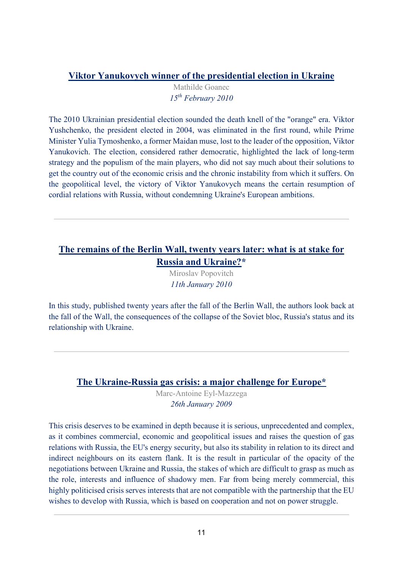# **[Viktor Yanukovych winner of the presidential election in Ukraine](https://www.robert-schuman.eu/en/eem/0950-viktor-yanukovych-winner-of-the-presidential-election-in-ukraine)**

Mathilde Goanec *15th February 2010* 

The 2010 Ukrainian presidential election sounded the death knell of the "orange" era. Viktor Yushchenko, the president elected in 2004, was eliminated in the first round, while Prime Minister Yulia Tymoshenko, a former Maidan muse, lost to the leader of the opposition, Viktor Yanukovich. The election, considered rather democratic, highlighted the lack of long-term strategy and the populism of the main players, who did not say much about their solutions to get the country out of the economic crisis and the chronic instability from which it suffers. On the geopolitical level, the victory of Viktor Yanukovych means the certain resumption of cordial relations with Russia, without condemning Ukraine's European ambitions.

# **[The remains of the Berlin Wall, twenty years later: what is at stake for](https://www.robert-schuman.eu/fr/doc/questions-d-europe/qe-153-fr.pdf)  [Russia and Ukraine?\\*](https://www.robert-schuman.eu/fr/doc/questions-d-europe/qe-153-fr.pdf)**

Miroslav Popovitch *11th January 2010* 

In this study, published twenty years after the fall of the Berlin Wall, the authors look back at the fall of the Wall, the consequences of the collapse of the Soviet bloc, Russia's status and its relationship with Ukraine.

### **[The Ukraine-Russia gas crisis: a major challenge for Europe\\*](https://www.robert-schuman.eu/fr/doc/questions-d-europe/qe-125-fr.pdf)**

Marc-Antoine Eyl-Mazzega *26th January 2009* 

This crisis deserves to be examined in depth because it is serious, unprecedented and complex, as it combines commercial, economic and geopolitical issues and raises the question of gas relations with Russia, the EU's energy security, but also its stability in relation to its direct and indirect neighbours on its eastern flank. It is the result in particular of the opacity of the negotiations between Ukraine and Russia, the stakes of which are difficult to grasp as much as the role, interests and influence of shadowy men. Far from being merely commercial, this highly politicised crisis serves interests that are not compatible with the partnership that the EU wishes to develop with Russia, which is based on cooperation and not on power struggle.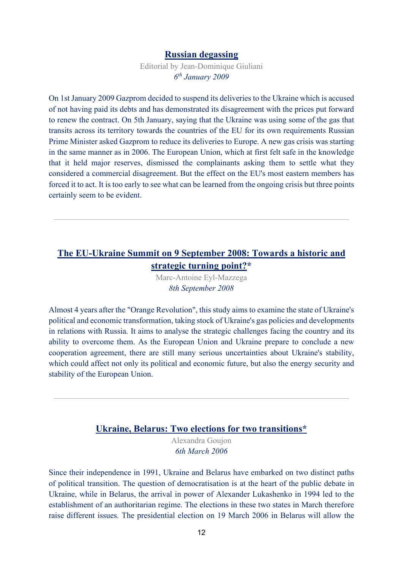#### **[Russian degassing](https://www.jd-giuliani.eu/en/article/cat-2/120_Russian-degassing.html)**

Editorial by Jean-Dominique Giuliani *6th January 2009* 

On 1st January 2009 Gazprom decided to suspend its deliveries to the Ukraine which is accused of not having paid its debts and has demonstrated its disagreement with the prices put forward to renew the contract. On 5th January, saying that the Ukraine was using some of the gas that transits across its territory towards the countries of the EU for its own requirements Russian Prime Minister asked Gazprom to reduce its deliveries to Europe. A new gas crisis was starting in the same manner as in 2006. The European Union, which at first felt safe in the knowledge that it held major reserves, dismissed the complainants asking them to settle what they considered a commercial disagreement. But the effect on the EU's most eastern members has forced it to act. It is too early to see what can be learned from the ongoing crisis but three points certainly seem to be evident.

### **[The EU-Ukraine Summit on 9 September 2008: Towards a historic and](https://www.robert-schuman.eu/fr/doc/questions-d-europe/qe-109-fr.pdf)  [strategic turning point?\\*](https://www.robert-schuman.eu/fr/doc/questions-d-europe/qe-109-fr.pdf)**

Marc-Antoine Eyl-Mazzega *8th September 2008* 

Almost 4 years after the "Orange Revolution", this study aims to examine the state of Ukraine's political and economic transformation, taking stock of Ukraine's gas policies and developments in relations with Russia. It aims to analyse the strategic challenges facing the country and its ability to overcome them. As the European Union and Ukraine prepare to conclude a new cooperation agreement, there are still many serious uncertainties about Ukraine's stability, which could affect not only its political and economic future, but also the energy security and stability of the European Union.

#### **[Ukraine, Belarus: Two elections for two transitions\\*](https://www.robert-schuman.eu/fr/questions-d-europe/0021-ukraine-bielorussie-deux-elections-pour-deux-transitions)**

Alexandra Goujon *6th March 2006* 

Since their independence in 1991, Ukraine and Belarus have embarked on two distinct paths of political transition. The question of democratisation is at the heart of the public debate in Ukraine, while in Belarus, the arrival in power of Alexander Lukashenko in 1994 led to the establishment of an authoritarian regime. The elections in these two states in March therefore raise different issues. The presidential election on 19 March 2006 in Belarus will allow the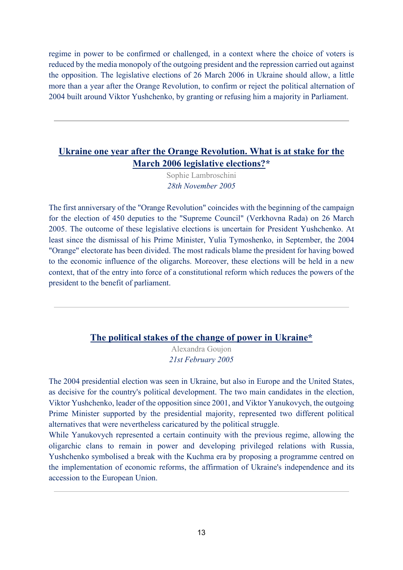regime in power to be confirmed or challenged, in a context where the choice of voters is reduced by the media monopoly of the outgoing president and the repression carried out against the opposition. The legislative elections of 26 March 2006 in Ukraine should allow, a little more than a year after the Orange Revolution, to confirm or reject the political alternation of 2004 built around Viktor Yushchenko, by granting or refusing him a majority in Parliament.

# **[Ukraine one year after the Orange Revolution. What is at stake for the](https://www.robert-schuman.eu/fr/questions-d-europe/0011-ukraine-un-an-apres-la-revolution-orange-quels-enjeux-pour-les-legislatives-de-mars-2006)  [March 2006 legislative elections?\\*](https://www.robert-schuman.eu/fr/questions-d-europe/0011-ukraine-un-an-apres-la-revolution-orange-quels-enjeux-pour-les-legislatives-de-mars-2006)**

Sophie Lambroschini *28th November 2005*

The first anniversary of the "Orange Revolution" coincides with the beginning of the campaign for the election of 450 deputies to the "Supreme Council" (Verkhovna Rada) on 26 March 2005. The outcome of these legislative elections is uncertain for President Yushchenko. At least since the dismissal of his Prime Minister, Yulia Tymoshenko, in September, the 2004 "Orange" electorate has been divided. The most radicals blame the president for having bowed to the economic influence of the oligarchs. Moreover, these elections will be held in a new context, that of the entry into force of a constitutional reform which reduces the powers of the president to the benefit of parliament.

### **[The political stakes of the change of power in Ukraine\\*](https://www.robert-schuman.eu/fr/supplements-lettre/0200-les-enjeux-politiques-du-changement-de-pouvoir-en-ukraine)**

Alexandra Goujon *21st February 2005* 

The 2004 presidential election was seen in Ukraine, but also in Europe and the United States, as decisive for the country's political development. The two main candidates in the election, Viktor Yushchenko, leader of the opposition since 2001, and Viktor Yanukovych, the outgoing Prime Minister supported by the presidential majority, represented two different political alternatives that were nevertheless caricatured by the political struggle.

While Yanukovych represented a certain continuity with the previous regime, allowing the oligarchic clans to remain in power and developing privileged relations with Russia, Yushchenko symbolised a break with the Kuchma era by proposing a programme centred on the implementation of economic reforms, the affirmation of Ukraine's independence and its accession to the European Union.